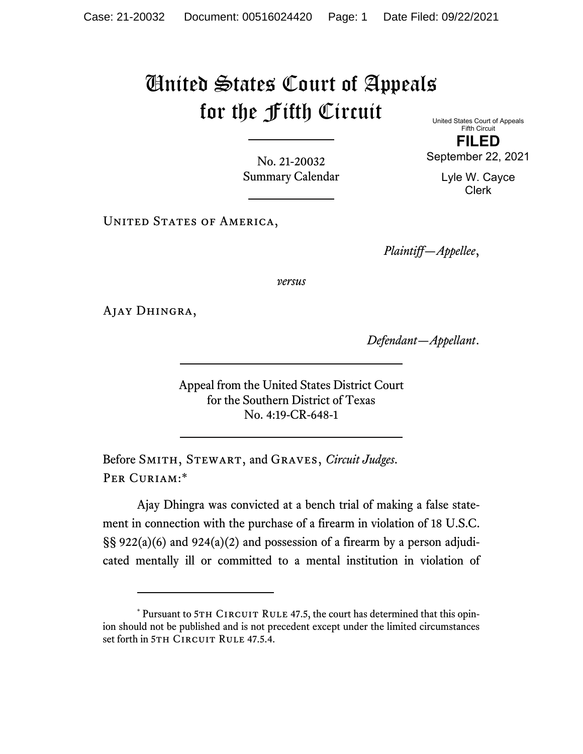## United States Court of Appeals for the Fifth Circuit United States Court of Appeals

No. 21-20032 Summary Calendar

Fifth Circuit **FILED** 

September 22, 2021

Lyle W. Cayce Clerk

UNITED STATES OF AMERICA,

*Plaintiff—Appellee*,

*versus*

Ajay Dhingra,

*Defendant—Appellant*.

Appeal from the United States District Court for the Southern District of Texas No. 4:19-CR-648-1

Before Smith, Stewart, and Graves, *Circuit Judges*. PER CURIAM:\*

Ajay Dhingra was convicted at a bench trial of making a false statement in connection with the purchase of a firearm in violation of 18 U.S.C. §§ 922(a)(6) and 924(a)(2) and possession of a firearm by a person adjudicated mentally ill or committed to a mental institution in violation of

<sup>\*</sup> Pursuant to 5TH CIRCUIT RULE 47.5, the court has determined that this opinion should not be published and is not precedent except under the limited circumstances set forth in 5TH CIRCUIT RULE 47.5.4.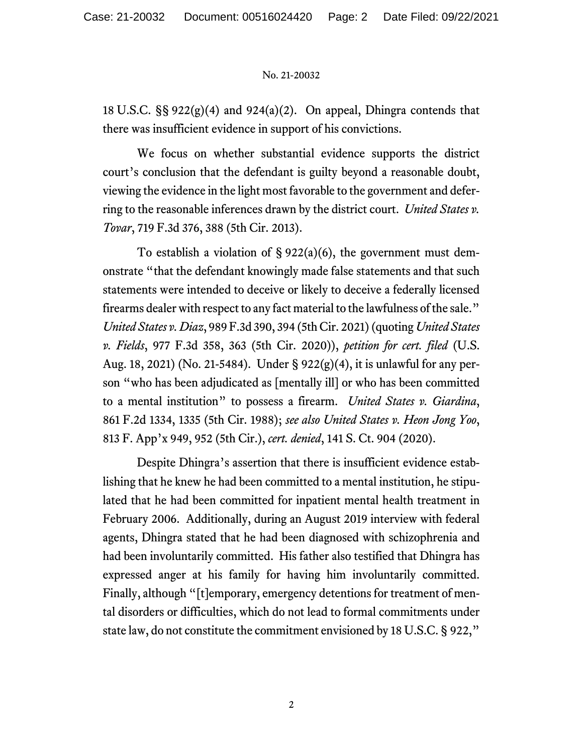## No. 21-20032

18 U.S.C.  $\S$ § 922(g)(4) and 924(a)(2). On appeal, Dhingra contends that there was insufficient evidence in support of his convictions.

We focus on whether substantial evidence supports the district court's conclusion that the defendant is guilty beyond a reasonable doubt, viewing the evidence in the light most favorable to the government and deferring to the reasonable inferences drawn by the district court. *United States v. Tovar*, 719 F.3d 376, 388 (5th Cir. 2013).

To establish a violation of  $\S 922(a)(6)$ , the government must demonstrate "that the defendant knowingly made false statements and that such statements were intended to deceive or likely to deceive a federally licensed firearms dealer with respect to any fact material to the lawfulness of the sale." *United States v. Diaz*, 989 F.3d 390, 394 (5th Cir. 2021) (quoting *United States v. Fields*, 977 F.3d 358, 363 (5th Cir. 2020)), *petition for cert. filed* (U.S. Aug. 18, 2021) (No. 21-5484). Under § 922(g)(4), it is unlawful for any person "who has been adjudicated as [mentally ill] or who has been committed to a mental institution" to possess a firearm. *United States v. Giardina*, 861 F.2d 1334, 1335 (5th Cir. 1988); *see also United States v. Heon Jong Yoo*, 813 F. App'x 949, 952 (5th Cir.), *cert. denied*, 141 S. Ct. 904 (2020).

Despite Dhingra's assertion that there is insufficient evidence establishing that he knew he had been committed to a mental institution, he stipulated that he had been committed for inpatient mental health treatment in February 2006. Additionally, during an August 2019 interview with federal agents, Dhingra stated that he had been diagnosed with schizophrenia and had been involuntarily committed. His father also testified that Dhingra has expressed anger at his family for having him involuntarily committed. Finally, although "[t]emporary, emergency detentions for treatment of mental disorders or difficulties, which do not lead to formal commitments under state law, do not constitute the commitment envisioned by 18 U.S.C. § 922,"